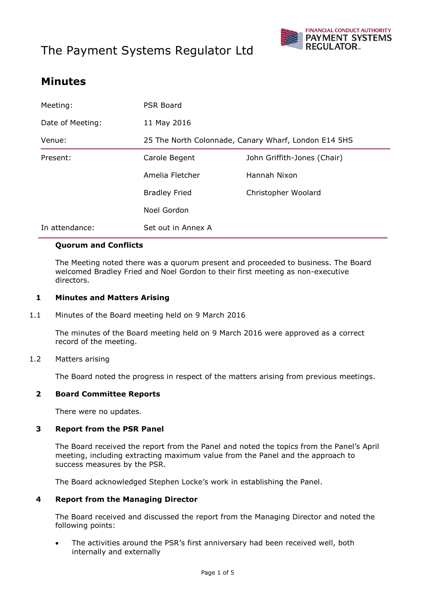# The Payment Systems Regulator Ltd



# **Minutes**

| Meeting:         | PSR Board                                            |                             |
|------------------|------------------------------------------------------|-----------------------------|
| Date of Meeting: | 11 May 2016                                          |                             |
| Venue:           | 25 The North Colonnade, Canary Wharf, London E14 5HS |                             |
| Present:         | Carole Begent                                        | John Griffith-Jones (Chair) |
|                  | Amelia Fletcher                                      | Hannah Nixon                |
|                  | <b>Bradley Fried</b>                                 | Christopher Woolard         |
|                  | Noel Gordon                                          |                             |
| In attendance:   | Set out in Annex A                                   |                             |

#### **Quorum and Conflicts**

The Meeting noted there was a quorum present and proceeded to business. The Board welcomed Bradley Fried and Noel Gordon to their first meeting as non-executive directors.

#### **1 Minutes and Matters Arising**

1.1 Minutes of the Board meeting held on 9 March 2016

The minutes of the Board meeting held on 9 March 2016 were approved as a correct record of the meeting.

1.2 Matters arising

The Board noted the progress in respect of the matters arising from previous meetings.

# **2 Board Committee Reports**

There were no updates.

#### **3 Report from the PSR Panel**

The Board received the report from the Panel and noted the topics from the Panel's April meeting, including extracting maximum value from the Panel and the approach to success measures by the PSR.

The Board acknowledged Stephen Locke's work in establishing the Panel.

#### **4 Report from the Managing Director**

The Board received and discussed the report from the Managing Director and noted the following points:

 The activities around the PSR's first anniversary had been received well, both internally and externally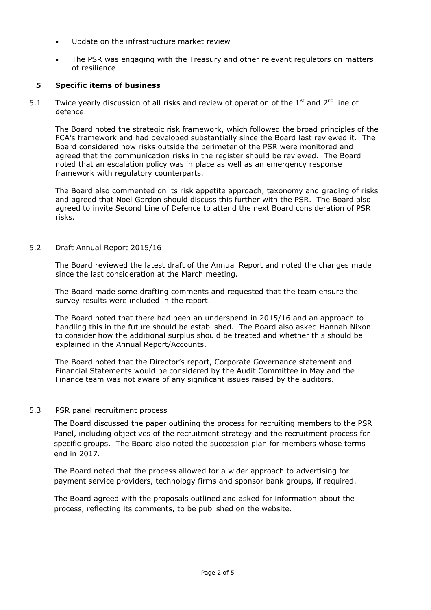- Update on the infrastructure market review
- The PSR was engaging with the Treasury and other relevant regulators on matters of resilience

## **5 Specific items of business**

5.1 Twice yearly discussion of all risks and review of operation of the  $1<sup>st</sup>$  and  $2<sup>nd</sup>$  line of defence.

The Board noted the strategic risk framework, which followed the broad principles of the FCA's framework and had developed substantially since the Board last reviewed it. The Board considered how risks outside the perimeter of the PSR were monitored and agreed that the communication risks in the register should be reviewed. The Board noted that an escalation policy was in place as well as an emergency response framework with regulatory counterparts.

The Board also commented on its risk appetite approach, taxonomy and grading of risks and agreed that Noel Gordon should discuss this further with the PSR. The Board also agreed to invite Second Line of Defence to attend the next Board consideration of PSR risks.

#### 5.2 Draft Annual Report 2015/16

The Board reviewed the latest draft of the Annual Report and noted the changes made since the last consideration at the March meeting.

The Board made some drafting comments and requested that the team ensure the survey results were included in the report.

The Board noted that there had been an underspend in 2015/16 and an approach to handling this in the future should be established. The Board also asked Hannah Nixon to consider how the additional surplus should be treated and whether this should be explained in the Annual Report/Accounts.

The Board noted that the Director's report, Corporate Governance statement and Financial Statements would be considered by the Audit Committee in May and the Finance team was not aware of any significant issues raised by the auditors.

#### 5.3 PSR panel recruitment process

The Board discussed the paper outlining the process for recruiting members to the PSR Panel, including objectives of the recruitment strategy and the recruitment process for specific groups. The Board also noted the succession plan for members whose terms end in 2017.

The Board noted that the process allowed for a wider approach to advertising for payment service providers, technology firms and sponsor bank groups, if required.

The Board agreed with the proposals outlined and asked for information about the process, reflecting its comments, to be published on the website.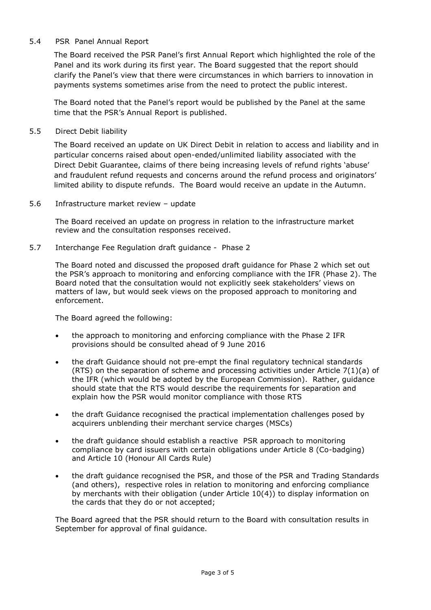#### 5.4 PSR Panel Annual Report

The Board received the PSR Panel's first Annual Report which highlighted the role of the Panel and its work during its first year. The Board suggested that the report should clarify the Panel's view that there were circumstances in which barriers to innovation in payments systems sometimes arise from the need to protect the public interest.

The Board noted that the Panel's report would be published by the Panel at the same time that the PSR's Annual Report is published.

### 5.5 Direct Debit liability

The Board received an update on UK Direct Debit in relation to access and liability and in particular concerns raised about open-ended/unlimited liability associated with the Direct Debit Guarantee, claims of there being increasing levels of refund rights 'abuse' and fraudulent refund requests and concerns around the refund process and originators' limited ability to dispute refunds. The Board would receive an update in the Autumn.

#### 5.6 Infrastructure market review – update

The Board received an update on progress in relation to the infrastructure market review and the consultation responses received.

#### 5.7 Interchange Fee Regulation draft guidance - Phase 2

The Board noted and discussed the proposed draft guidance for Phase 2 which set out the PSR's approach to monitoring and enforcing compliance with the IFR (Phase 2). The Board noted that the consultation would not explicitly seek stakeholders' views on matters of law, but would seek views on the proposed approach to monitoring and enforcement.

The Board agreed the following:

- the approach to monitoring and enforcing compliance with the Phase 2 IFR provisions should be consulted ahead of 9 June 2016
- the draft Guidance should not pre-empt the final regulatory technical standards (RTS) on the separation of scheme and processing activities under Article  $7(1)(a)$  of the IFR (which would be adopted by the European Commission). Rather, guidance should state that the RTS would describe the requirements for separation and explain how the PSR would monitor compliance with those RTS
- the draft Guidance recognised the practical implementation challenges posed by acquirers unblending their merchant service charges (MSCs)
- the draft guidance should establish a reactive PSR approach to monitoring compliance by card issuers with certain obligations under Article 8 (Co-badging) and Article 10 (Honour All Cards Rule)
- the draft guidance recognised the PSR, and those of the PSR and Trading Standards (and others), respective roles in relation to monitoring and enforcing compliance by merchants with their obligation (under Article 10(4)) to display information on the cards that they do or not accepted;

The Board agreed that the PSR should return to the Board with consultation results in September for approval of final guidance.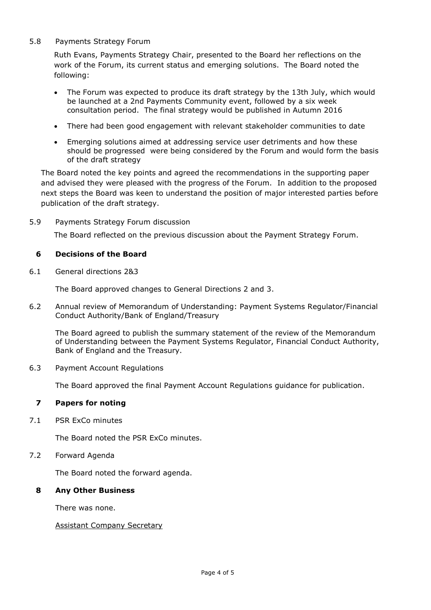#### 5.8 Payments Strategy Forum

Ruth Evans, Payments Strategy Chair, presented to the Board her reflections on the work of the Forum, its current status and emerging solutions. The Board noted the following:

- The Forum was expected to produce its draft strategy by the 13th July, which would be launched at a 2nd Payments Community event, followed by a six week consultation period. The final strategy would be published in Autumn 2016
- There had been good engagement with relevant stakeholder communities to date
- Emerging solutions aimed at addressing service user detriments and how these should be progressed were being considered by the Forum and would form the basis of the draft strategy

The Board noted the key points and agreed the recommendations in the supporting paper and advised they were pleased with the progress of the Forum. In addition to the proposed next steps the Board was keen to understand the position of major interested parties before publication of the draft strategy.

5.9 Payments Strategy Forum discussion

The Board reflected on the previous discussion about the Payment Strategy Forum.

#### **6 Decisions of the Board**

6.1 General directions 2&3

The Board approved changes to General Directions 2 and 3.

6.2 Annual review of Memorandum of Understanding: Payment Systems Regulator/Financial Conduct Authority/Bank of England/Treasury

The Board agreed to publish the summary statement of the review of the Memorandum of Understanding between the Payment Systems Regulator, Financial Conduct Authority, Bank of England and the Treasury.

6.3 Payment Account Regulations

The Board approved the final Payment Account Regulations guidance for publication.

## **7 Papers for noting**

7.1 PSR ExCo minutes

The Board noted the PSR ExCo minutes.

7.2 Forward Agenda

The Board noted the forward agenda.

#### **8 Any Other Business**

There was none.

Assistant Company Secretary